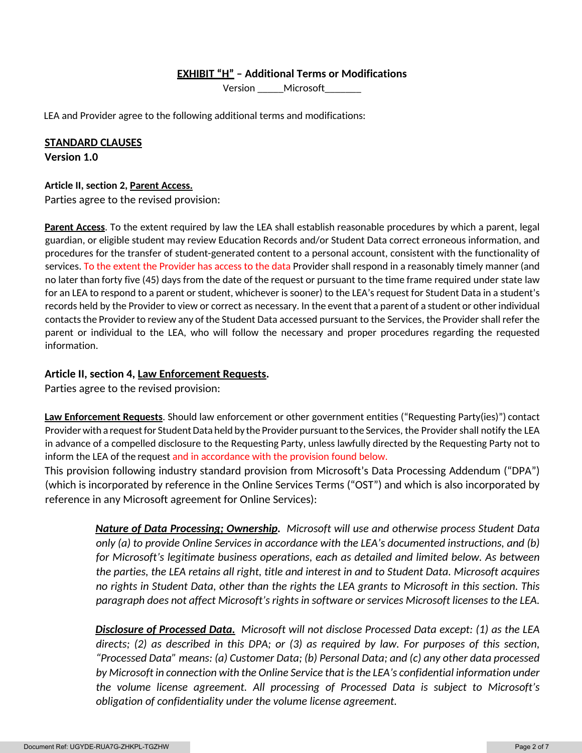## **EXHIBIT "H" – Additional Terms or Modifications**

Version Microsoft

LEA and Provider agree to the following additional terms and modifications:

# **STANDARD CLAUSES**

**Version 1.0**

## **Article II, section 2, Parent Access.**

Parties agree to the revised provision:

**Parent Access**. To the extent required by law the LEA shall establish reasonable procedures by which a parent, legal guardian, or eligible student may review Education Records and/or Student Data correct erroneous information, and procedures for the transfer of student-generated content to a personal account, consistent with the functionality of services. To the extent the Provider has access to the data Provider shall respond in a reasonably timely manner (and no later than forty five (45) days from the date of the request or pursuant to the time frame required under state law for an LEA to respond to a parent or student, whichever is sooner) to the LEA's request for Student Data in a student's records held by the Provider to view or correct as necessary. In the event that a parent of a student or other individual contacts the Provider to review any of the Student Data accessed pursuant to the Services, the Provider shall refer the parent or individual to the LEA, who will follow the necessary and proper procedures regarding the requested information.

## **Article II, section 4, Law Enforcement Requests.**

Parties agree to the revised provision:

**Law Enforcement Requests**. Should law enforcement or other government entities ("Requesting Party(ies)") contact Provider with a request for Student Data held by the Provider pursuant to the Services, the Provider shall notify the LEA in advance of a compelled disclosure to the Requesting Party, unless lawfully directed by the Requesting Party not to inform the LEA of the request and in accordance with the provision found below.

This provision following industry standard provision from Microsoft's Data Processing Addendum ("DPA") (which is incorporated by reference in the Online Services Terms ("OST") and which is also incorporated by reference in any Microsoft agreement for Online Services):

> *Nature of Data Processing; Ownership. Microsoft will use and otherwise process Student Data only (a) to provide Online Services in accordance with the LEA's documented instructions, and (b) for Microsoft's legitimate business operations, each as detailed and limited below. As between the parties, the LEA retains all right, title and interest in and to Student Data. Microsoft acquires no rights in Student Data, other than the rights the LEA grants to Microsoft in this section. This paragraph does not affect Microsoft's rights in software or services Microsoft licenses to the LEA.*

> *Disclosure of Processed Data. Microsoft will not disclose Processed Data except: (1) as the LEA directs; (2) as described in this DPA; or (3) as required by law. For purposes of this section, "Processed Data" means: (a) Customer Data; (b) Personal Data; and (c) any other data processed by Microsoft in connection with the Online Service that is the LEA's confidential information under the volume license agreement. All processing of Processed Data is subject to Microsoft's obligation of confidentiality under the volume license agreement.*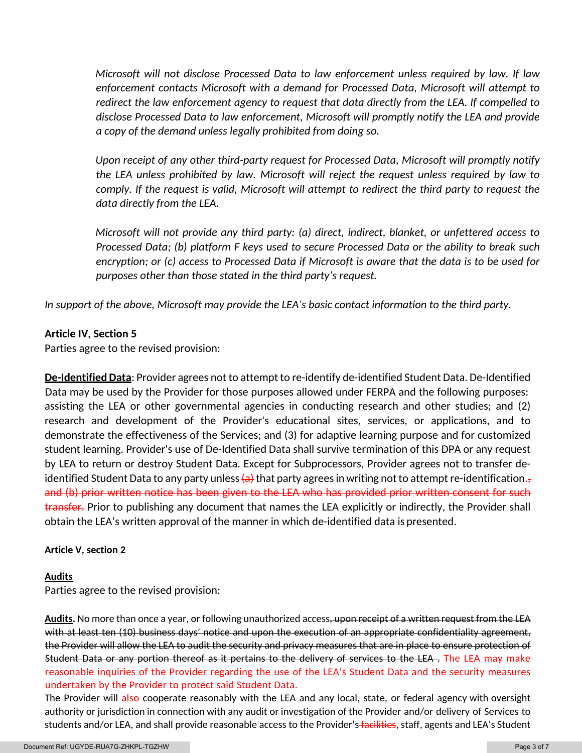*Microsoft will not disclose Processed Data to law enforcement unless required by law. If law enforcement contacts Microsoft with a demand for Processed Data, Microsoft will attempt to redirect the law enforcement agency to request that data directly from the LEA. If compelled to disclose Processed Data to law enforcement, Microsoft will promptly notify the LEA and provide a copy of the demand unless legally prohibited from doing so.*

*Upon receipt of any other third-party request for Processed Data, Microsoft will promptly notify the LEA unless prohibited by law. Microsoft will reject the request unless required by law to comply. If the request is valid, Microsoft will attempt to redirect the third party to request the data directly from the LEA.*

*Microsoft will not provide any third party: (a) direct, indirect, blanket, or unfettered access to Processed Data; (b) platform F keys used to secure Processed Data or the ability to break such encryption; or (c) access to Processed Data if Microsoft is aware that the data is to be used for purposes other than those stated in the third party's request.* 

*In support of the above, Microsoft may provide the LEA's basic contact information to the third party.*

## **Article IV, Section 5**

Parties agree to the revised provision:

**De-Identified Data**: Provider agrees not to attempt to re-identify de-identified Student Data. De-Identified Data may be used by the Provider for those purposes allowed under FERPA and the following purposes: assisting the LEA or other governmental agencies in conducting research and other studies; and (2) research and development of the Provider's educational sites, services, or applications, and to demonstrate the effectiveness of the Services; and (3) for adaptive learning purpose and for customized student learning. Provider's use of De-Identified Data shall survive termination of this DPA or any request by LEA to return or destroy Student Data. Except for Subprocessors, Provider agrees not to transfer deidentified Student Data to any party unless  $\{a\}$  that party agrees in writing not to attempt re-identification., and (b) prior written notice has been given to the LEA who has provided prior written consent for such transfer. Prior to publishing any document that names the LEA explicitly or indirectly, the Provider shall obtain the LEA's written approval of the manner in which de-identified data is presented.

## **Article V, section 2**

## **Audits**

Parties agree to the revised provision:

**Audits.** No more than once a year, or following unauthorized access, upon receipt of a written request from the LEA with at least ten (10) business days' notice and upon the execution of an appropriate confidentiality agreement, the Provider will allow the LEA to audit the security and privacy measures that are in place to ensure protection of Student Data or any portion thereof as it pertains to the delivery of services to the LEA . The LEA may make reasonable inquiries of the Provider regarding the use of the LEA's Student Data and the security measures undertaken by the Provider to protect said Student Data.

The Provider will also cooperate reasonably with the LEA and any local, state, or federal agency with oversight authority or jurisdiction in connection with any audit or investigation of the Provider and/or delivery of Services to students and/or LEA, and shall provide reasonable access to the Provider's facilities, staff, agents and LEA's Student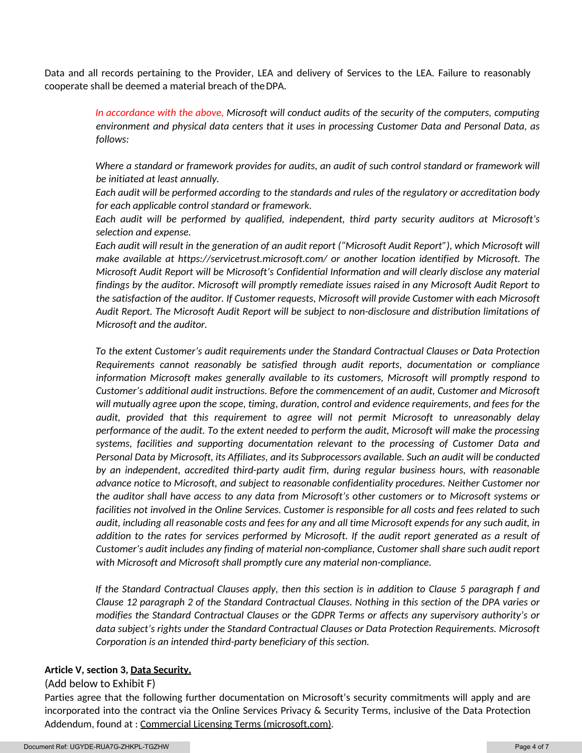Data and all records pertaining to the Provider, LEA and delivery of Services to the LEA. Failure to reasonably cooperate shall be deemed a material breach of the DPA.

> *In accordance with the above, Microsoft will conduct audits of the security of the computers, computing environment and physical data centers that it uses in processing Customer Data and Personal Data, as follows:*

> *Where a standard or framework provides for audits, an audit of such control standard or framework will be initiated at least annually.*

> *Each audit will be performed according to the standards and rules of the regulatory or accreditation body for each applicable control standard or framework.*

> *Each audit will be performed by qualified, independent, third party security auditors at Microsoft's selection and expense.*

> *Each audit will result in the generation of an audit report ("Microsoft Audit Report"), which Microsoft will make available at https://servicetrust.microsoft.com/ or another location identified by Microsoft. The Microsoft Audit Report will be Microsoft's Confidential Information and will clearly disclose any material findings by the auditor. Microsoft will promptly remediate issues raised in any Microsoft Audit Report to the satisfaction of the auditor. If Customer requests, Microsoft will provide Customer with each Microsoft Audit Report. The Microsoft Audit Report will be subject to non-disclosure and distribution limitations of Microsoft and the auditor.*

> *To the extent Customer's audit requirements under the Standard Contractual Clauses or Data Protection Requirements cannot reasonably be satisfied through audit reports, documentation or compliance information Microsoft makes generally available to its customers, Microsoft will promptly respond to Customer's additional audit instructions. Before the commencement of an audit, Customer and Microsoft will mutually agree upon the scope, timing, duration, control and evidence requirements, and fees for the audit, provided that this requirement to agree will not permit Microsoft to unreasonably delay performance of the audit. To the extent needed to perform the audit, Microsoft will make the processing systems, facilities and supporting documentation relevant to the processing of Customer Data and Personal Data by Microsoft, its Affiliates, and its Subprocessors available. Such an audit will be conducted by an independent, accredited third-party audit firm, during regular business hours, with reasonable advance notice to Microsoft, and subject to reasonable confidentiality procedures. Neither Customer nor the auditor shall have access to any data from Microsoft's other customers or to Microsoft systems or facilities not involved in the Online Services. Customer is responsible for all costs and fees related to such audit, including all reasonable costs and fees for any and all time Microsoft expends for any such audit, in addition to the rates for services performed by Microsoft. If the audit report generated as a result of Customer's audit includes any finding of material non-compliance, Customer shall share such audit report with Microsoft and Microsoft shall promptly cure any material non-compliance.*

> *If the Standard Contractual Clauses apply, then this section is in addition to Clause 5 paragraph f and Clause 12 paragraph 2 of the Standard Contractual Clauses. Nothing in this section of the DPA varies or modifies the Standard Contractual Clauses or the GDPR Terms or affects any supervisory authority's or data subject's rights under the Standard Contractual Clauses or Data Protection Requirements. Microsoft Corporation is an intended third-party beneficiary of this section.*

### **Article V, section 3, Data Security.**

### (Add below to Exhibit F)

Parties agree that the following further documentation on Microsoft's security commitments will apply and are incorporated into the contract via the Online Services Privacy & Security Terms, inclusive of the Data Protection Addendum, found at : Commercial Licensing Terms (microsoft.com).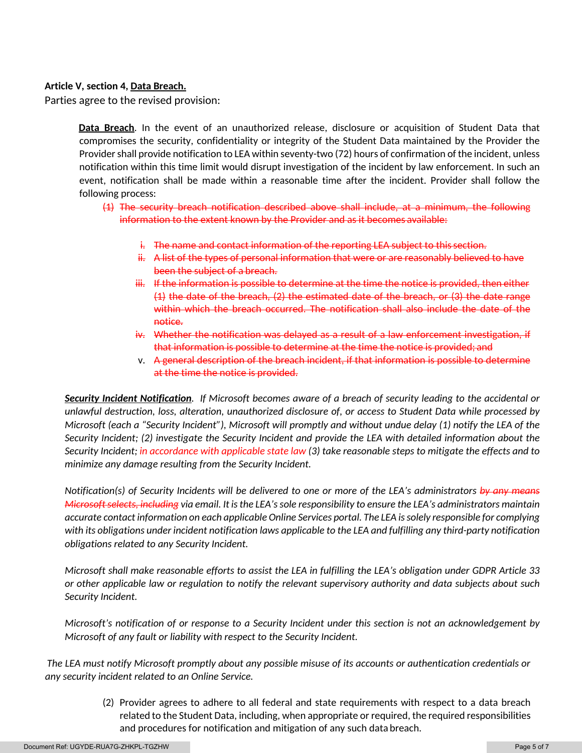## **Article V, section 4, Data Breach.**

Parties agree to the revised provision:

**Data Breach**. In the event of an unauthorized release, disclosure or acquisition of Student Data that compromises the security, confidentiality or integrity of the Student Data maintained by the Provider the Provider shall provide notification to LEA within seventy-two (72) hours of confirmation of the incident, unless notification within this time limit would disrupt investigation of the incident by law enforcement. In such an event, notification shall be made within a reasonable time after the incident. Provider shall follow the following process:

- (1) The security breach notification described above shall include, at a minimum, the following information to the extent known by the Provider and as it becomes available:
	- i. The name and contact information of the reporting LEA subject to this section.
	- ii. A list of the types of personal information that were or are reasonably believed to have been the subject of a breach.
	- iii. If the information is possible to determine at the time the notice is provided, then either (1) the date of the breach, (2) the estimated date of the breach, or (3) the date range within which the breach occurred. The notification shall also include the date of the notice.
	- iv. Whether the notification was delayed as a result of a law enforcement investigation, if that information is possible to determine at the time the notice is provided; and
	- v. A general description of the breach incident, if that information is possible to determine at the time the notice is provided.

*Security Incident Notification. If Microsoft becomes aware of a breach of security leading to the accidental or unlawful destruction, loss, alteration, unauthorized disclosure of, or access to Student Data while processed by Microsoft (each a "Security Incident"), Microsoft will promptly and without undue delay (1) notify the LEA of the Security Incident; (2) investigate the Security Incident and provide the LEA with detailed information about the Security Incident; in accordance with applicable state law (3) take reasonable steps to mitigate the effects and to minimize any damage resulting from the Security Incident.*

*Notification(s) of Security Incidents will be delivered to one or more of the LEA's administrators by any means Microsoft selects, including via email. It is the LEA's sole responsibility to ensure the LEA's administrators maintain accurate contact information on each applicable Online Services portal. The LEA is solely responsible for complying with its obligations under incident notification laws applicable to the LEA and fulfilling any third-party notification obligations related to any Security Incident.*

*Microsoft shall make reasonable efforts to assist the LEA in fulfilling the LEA's obligation under GDPR Article 33 or other applicable law or regulation to notify the relevant supervisory authority and data subjects about such Security Incident.*

*Microsoft's notification of or response to a Security Incident under this section is not an acknowledgement by Microsoft of any fault or liability with respect to the Security Incident.*

 *The LEA must notify Microsoft promptly about any possible misuse of its accounts or authentication credentials or any security incident related to an Online Service.*

> (2) Provider agrees to adhere to all federal and state requirements with respect to a data breach related to the Student Data, including, when appropriate or required, the required responsibilities and procedures for notification and mitigation of any such data breach.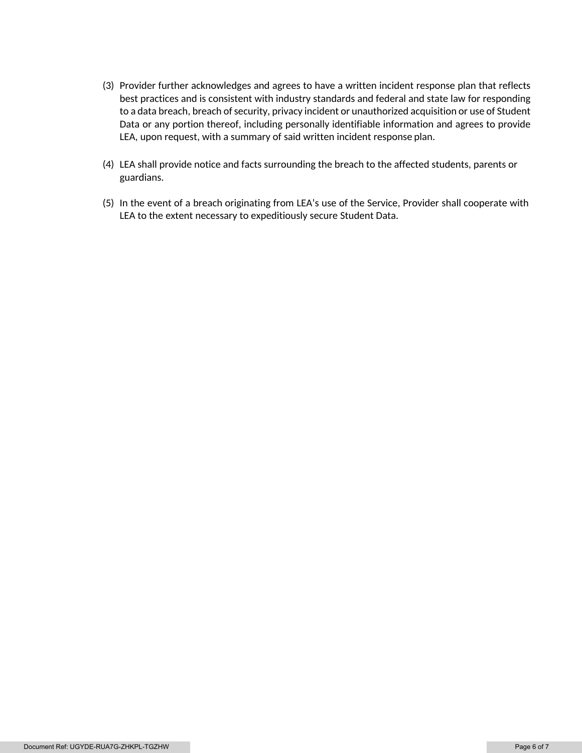- (3) Provider further acknowledges and agrees to have a written incident response plan that reflects best practices and is consistent with industry standards and federal and state law for responding to a data breach, breach of security, privacy incident or unauthorized acquisition or use of Student Data or any portion thereof, including personally identifiable information and agrees to provide LEA, upon request, with a summary of said written incident response plan.
- (4) LEA shall provide notice and facts surrounding the breach to the affected students, parents or guardians.
- (5) In the event of a breach originating from LEA's use of the Service, Provider shall cooperate with LEA to the extent necessary to expeditiously secure Student Data.